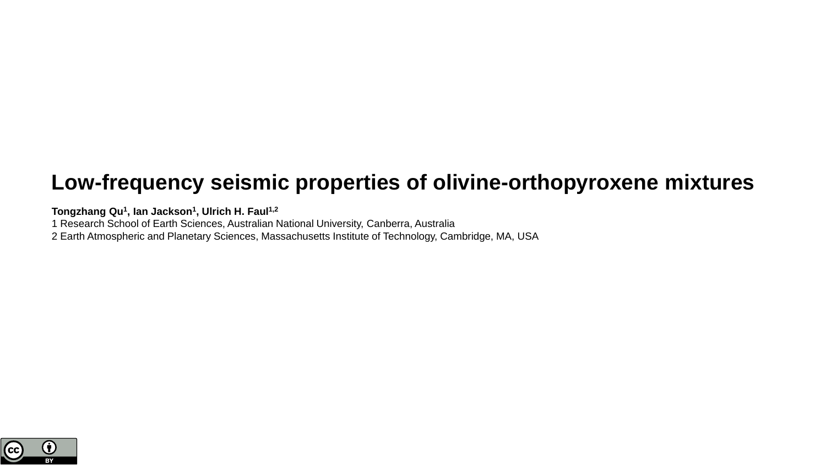# **Low-frequency seismic properties of olivine-orthopyroxene mixtures**

**Tongzhang Qu<sup>1</sup> , Ian Jackson<sup>1</sup> , Ulrich H. Faul1,2**

1 Research School of Earth Sciences, Australian National University, Canberra, Australia

2 Earth Atmospheric and Planetary Sciences, Massachusetts Institute of Technology, Cambridge, MA, USA

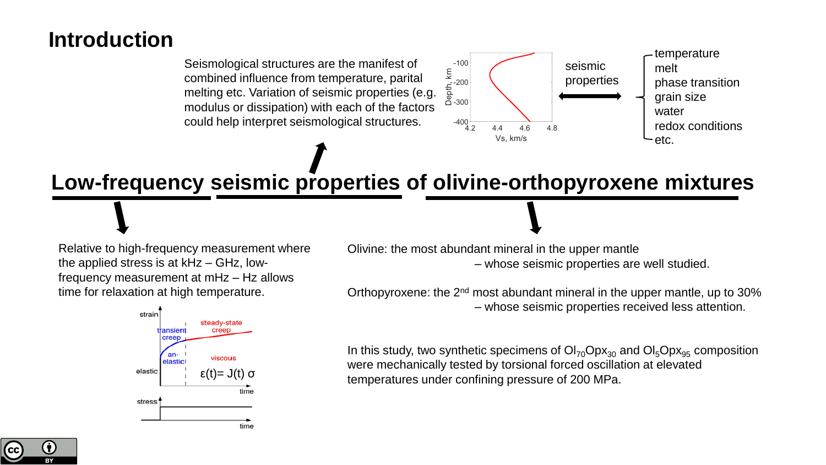## **Introduction**

Seismological structures are the manifest of combined influence from temperature, parital melting etc. Variation of seismic properties (e.g. modulus or dissipation) with each of the factors could help interpret seismological structures.



**Low-frequency seismic properties of olivine-orthopyroxene mixtures**

Relative to high-frequency measurement where the applied stress is at kHz – GHz, lowfrequency measurement at mHz – Hz allows time for relaxation at high temperature.



Olivine: the most abundant mineral in the upper mantle – whose seismic properties are well studied.

Orthopyroxene: the 2<sup>nd</sup> most abundant mineral in the upper mantle, up to 30% – whose seismic properties received less attention.

In this study, two synthetic specimens of  $O<sub>170</sub>Opx<sub>30</sub>$  and  $O<sub>15</sub>Opx<sub>95</sub>$  composition were mechanically tested by torsional forced oscillation at elevated temperatures under confining pressure of 200 MPa.

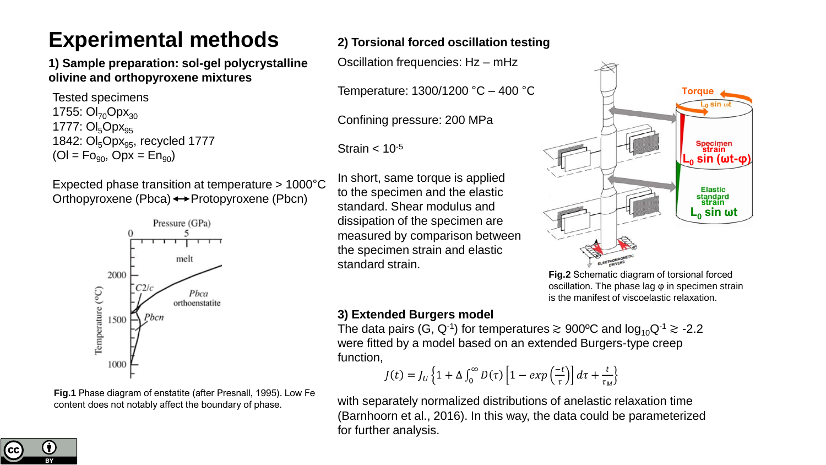# **Experimental methods**

**1) Sample preparation: sol-gel polycrystalline olivine and orthopyroxene mixtures**

Tested specimens 1755:  $OI_{70}Opx_{30}$ 1777:  $OI_5Opx_{95}$ 1842:  $OI_5Opx_{95}$ , recycled 1777  $(OI = Fo_{90}$ ,  $Opx = En_{90}$ 

Expected phase transition at temperature > 1000°C Orthopyroxene (Pbca)  $\leftrightarrow$  Protopyroxene (Pbcn)



**Fig.1** Phase diagram of enstatite (after Presnall, 1995). Low Fe content does not notably affect the boundary of phase.

### **2) Torsional forced oscillation testing**

Oscillation frequencies: Hz – mHz

Temperature: 1300/1200 °C – 400 °C

Confining pressure: 200 MPa

Strain  $< 10^{-5}$ 

In short, same torque is applied to the specimen and the elastic standard. Shear modulus and dissipation of the specimen are measured by comparison between the specimen strain and elastic standard strain.



**Fig.2** Schematic diagram of torsional forced oscillation. The phase lag φ in specimen strain is the manifest of viscoelastic relaxation.

#### **3) Extended Burgers model**

The data pairs (G, Q<sup>-1</sup>) for temperatures  $\gtrsim$  900ºC and log $_{10}$ Q<sup>-1</sup>  $\gtrsim$  -2.2 were fitted by a model based on an extended Burgers-type creep function,

$$
J(t) = J_U \left\{ 1 + \Delta \int_0^{\infty} D(\tau) \left[ 1 - exp\left(\frac{-t}{\tau}\right) \right] d\tau + \frac{t}{\tau_M} \right\}
$$

with separately normalized distributions of anelastic relaxation time (Barnhoorn et al., 2016). In this way, the data could be parameterized for further analysis.

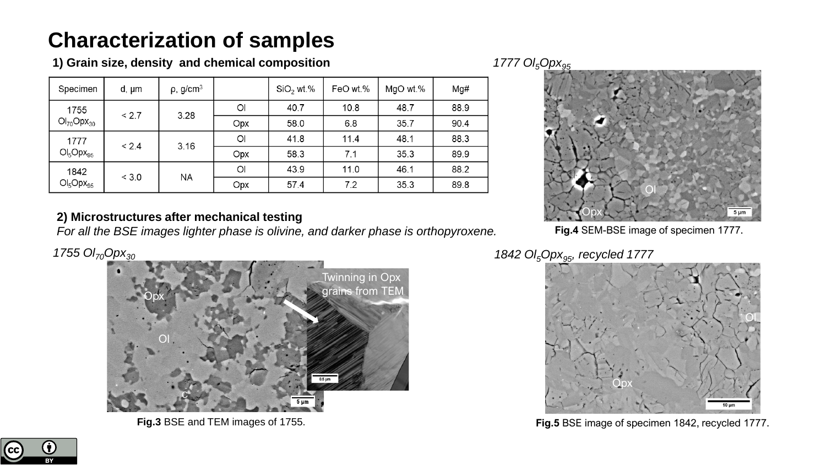# **Characterization of samples**

**1) Grain size, density and chemical composition**

| Specimen                  | d, µm | $\rho$ , g/cm <sup>3</sup> |     | $SiO2$ wt.% | FeO wt.% | MgO wt.% | Mg#  |
|---------------------------|-------|----------------------------|-----|-------------|----------|----------|------|
| 1755<br>$OI_{70}Opx_{30}$ | < 2.7 | 3.28                       | Ol  | 40.7        | 10.8     | 48.7     | 88.9 |
|                           |       |                            | Opx | 58.0        | 6.8      | 35.7     | 90.4 |
| 1777<br>$OI_5Opx_{95}$    | < 2.4 | 3.16                       | Ol  | 41.8        | 11.4     | 48.1     | 88.3 |
|                           |       |                            | Opx | 58.3        | 7.1      | 35.3     | 89.9 |
| 1842<br>$OI_5Opx_{95}$    | < 3.0 | ΝA                         | Ol  | 43.9        | 11.0     | 46.1     | 88.2 |
|                           |       |                            | Opx | 57.4        | 7.2      | 35.3     | 89.8 |

### **2) Microstructures after mechanical testing**

*For all the BSE images lighter phase is olivine, and darker phase is orthopyroxene.* 

*1755 Ol70Opx<sup>30</sup>*



**Fig.3** BSE and TEM images of 1755.

#### *1777 Ol5Opx<sup>95</sup>*



**Fig.4** SEM-BSE image of specimen 1777.

*1842 Ol5Opx95, recycled 1777* 



**Fig.5** BSE image of specimen 1842, recycled 1777.

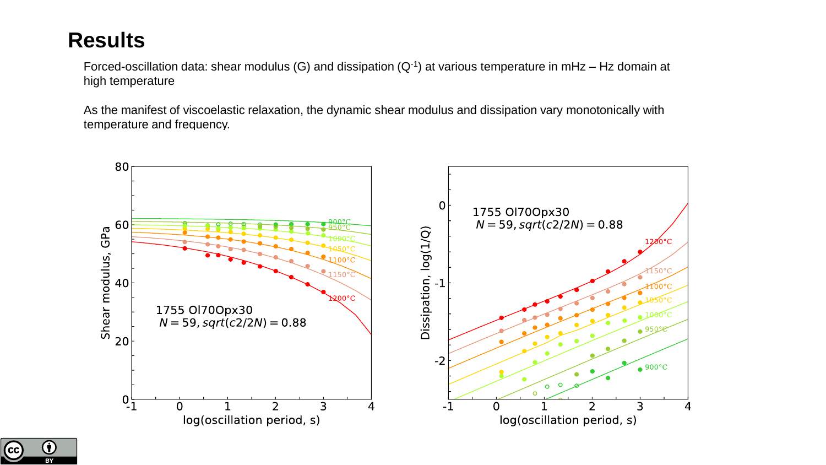## **Results**

Forced-oscillation data: shear modulus (G) and dissipation (Q-1) at various temperature in mHz – Hz domain at high temperature

As the manifest of viscoelastic relaxation, the dynamic shear modulus and dissipation vary monotonically with temperature and frequency.



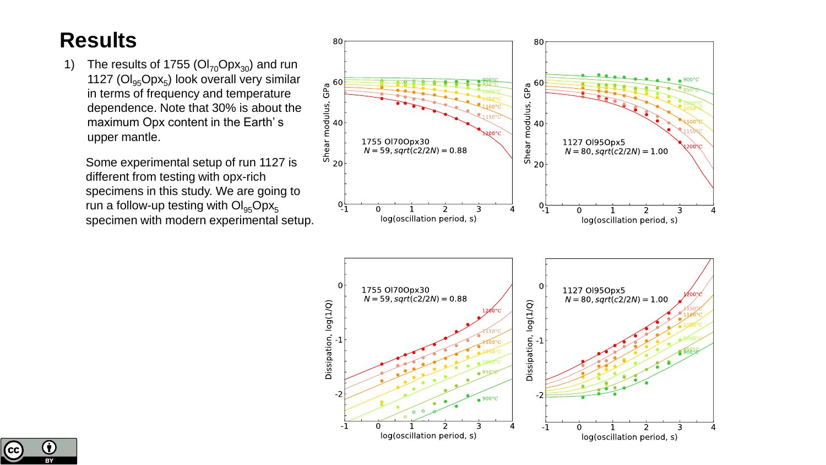# **Results**

1) The results of 1755 ( $OI_{70}Opx_{30}$ ) and run 1127 ( $OI_{95}Opx_{5}$ ) look overall very similar in terms of frequency and temperature dependence. Note that 30% is about the maximum Opx content in the Earth's upper mantle.

Some experimental setup of run 1127 is different from testing with opx-rich specimens in this study. We are going to run a follow-up testing with  $OI_{95}Opx_5$ specimen with modern experimental setup.



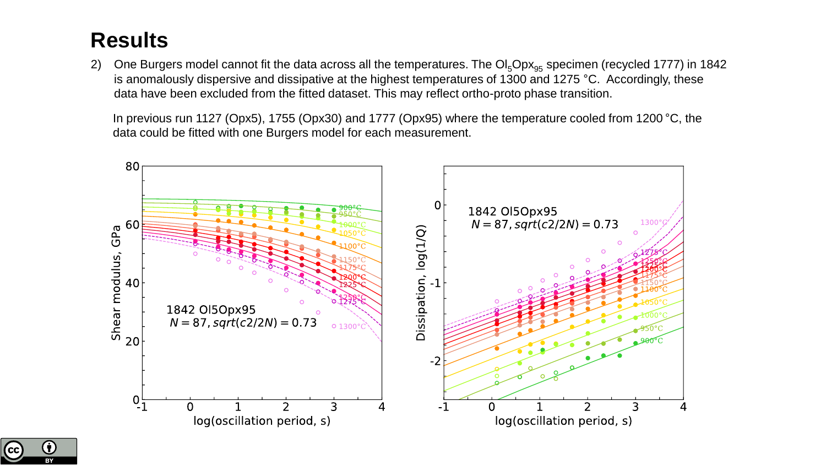# **Results**

2) One Burgers model cannot fit the data across all the temperatures. The  $OI_5Opx_{95}$  specimen (recycled 1777) in 1842 is anomalously dispersive and dissipative at the highest temperatures of 1300 and 1275 °C. Accordingly, these data have been excluded from the fitted dataset. This may reflect ortho-proto phase transition.

In previous run 1127 (Opx5), 1755 (Opx30) and 1777 (Opx95) where the temperature cooled from 1200 °C, the data could be fitted with one Burgers model for each measurement.



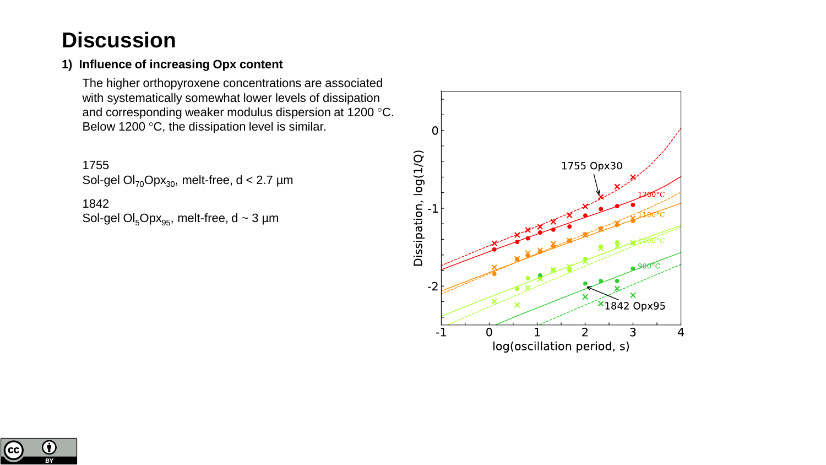## **Discussion**

#### **1) Influence of increasing Opx content**

The higher orthopyroxene concentrations are associated with systematically somewhat lower levels of dissipation and corresponding weaker modulus dispersion at 1200 °C. Below 1200  $\mathrm{^{\circ}C}$ , the dissipation level is similar.

1755 Sol-gel  $OI_{70}Opx_{30}$ , melt-free, d < 2.7 µm 1842 Sol-gel  $OI_5Opx_{95}$ , melt-free, d ~ 3 µm



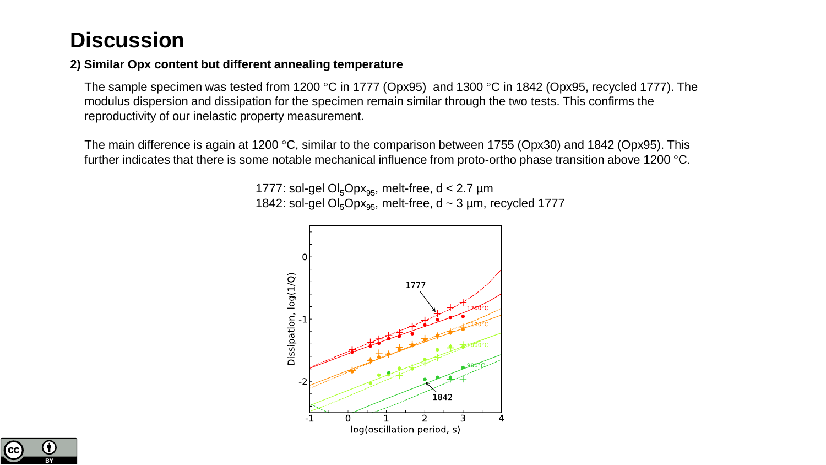## **Discussion**

#### **2) Similar Opx content but different annealing temperature**

The sample specimen was tested from 1200 °C in 1777 (Opx95) and 1300 °C in 1842 (Opx95, recycled 1777). The modulus dispersion and dissipation for the specimen remain similar through the two tests. This confirms the reproductivity of our inelastic property measurement.

The main difference is again at 1200 °C, similar to the comparison between 1755 (Opx30) and 1842 (Opx95). This further indicates that there is some notable mechanical influence from proto-ortho phase transition above 1200 °C.

> 1777: sol-gel  $Ol_5Opx_{95}$ , melt-free, d < 2.7 µm 1842: sol-gel  $OI_5Opx_{95}$ , melt-free, d ~ 3 µm, recycled 1777



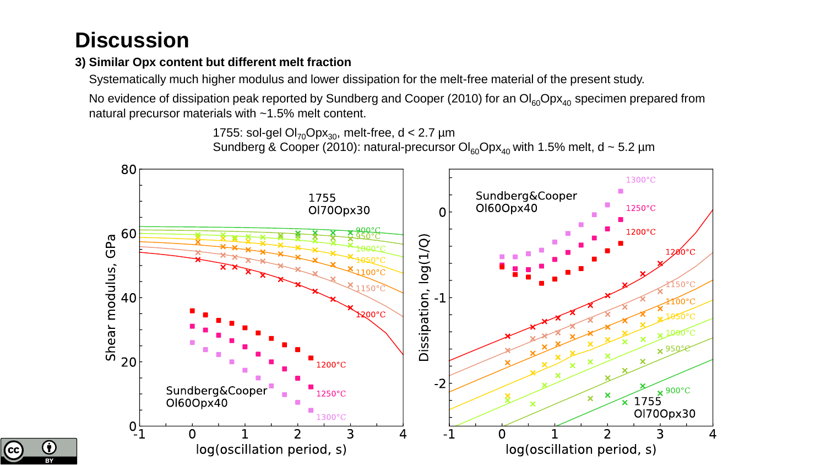# **Discussion**

### **3) Similar Opx content but different melt fraction**

Systematically much higher modulus and lower dissipation for the melt-free material of the present study.

No evidence of dissipation peak reported by Sundberg and Cooper (2010) for an  $O|_{60}Opx_{40}$  specimen prepared from natural precursor materials with ~1.5% melt content.

```
1755: sol-gel OI_{70}Opx_{30}, melt-free, d < 2.7 µm
```
Sundberg & Cooper (2010): natural-precursor  $O|_{60}Opx_{40}$  with 1.5% melt, d ~ 5.2 µm